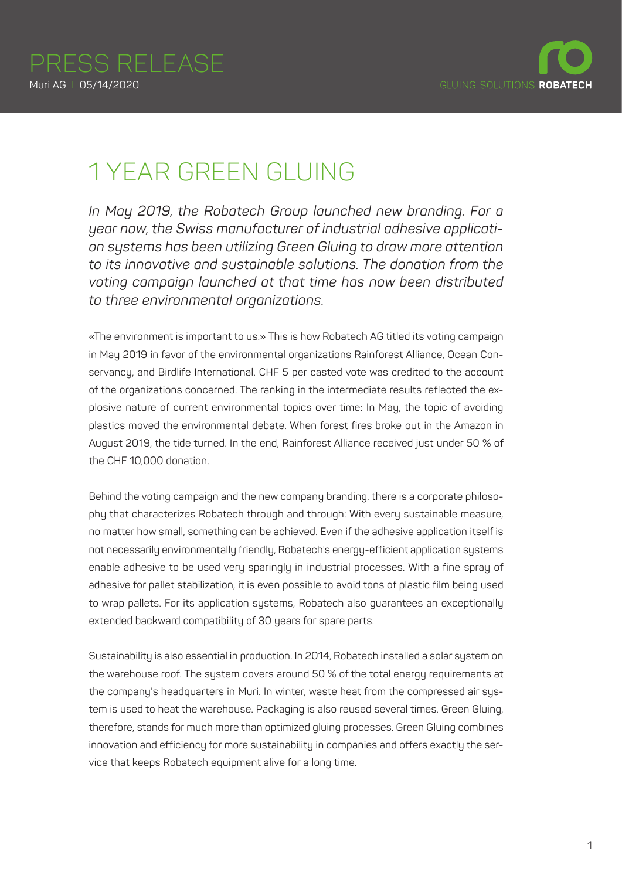

## 1 YEAR GREEN GLUING

*In May 2019, the Robatech Group launched new branding. For a year now, the Swiss manufacturer of industrial adhesive application systems has been utilizing Green Gluing to draw more attention to its innovative and sustainable solutions. The donation from the voting campaign launched at that time has now been distributed to three environmental organizations.*

«The environment is important to us.» This is how Robatech AG titled its voting campaign in May 2019 in favor of the environmental organizations Rainforest Alliance, Ocean Conservancy, and Birdlife International. CHF 5 per casted vote was credited to the account of the organizations concerned. The ranking in the intermediate results reflected the explosive nature of current environmental topics over time: In May, the topic of avoiding plastics moved the environmental debate. When forest fires broke out in the Amazon in August 2019, the tide turned. In the end, Rainforest Alliance received just under 50 % of the CHF 10,000 donation.

Behind the voting campaign and the new company branding, there is a corporate philosophy that characterizes Robatech through and through: With every sustainable measure, no matter how small, something can be achieved. Even if the adhesive application itself is not necessarily environmentally friendly, Robatech's energy-efficient application systems enable adhesive to be used very sparingly in industrial processes. With a fine spray of adhesive for pallet stabilization, it is even possible to avoid tons of plastic film being used to wrap pallets. For its application systems, Robatech also guarantees an exceptionally extended backward compatibility of 30 years for spare parts.

Sustainability is also essential in production. In 2014, Robatech installed a solar system on the warehouse roof. The system covers around 50 % of the total energy requirements at the company's headquarters in Muri. In winter, waste heat from the compressed air sustem is used to heat the warehouse. Packaging is also reused several times. Green Gluing, therefore, stands for much more than optimized gluing processes. Green Gluing combines innovation and efficiency for more sustainability in companies and offers exactly the service that keeps Robatech equipment alive for a long time.